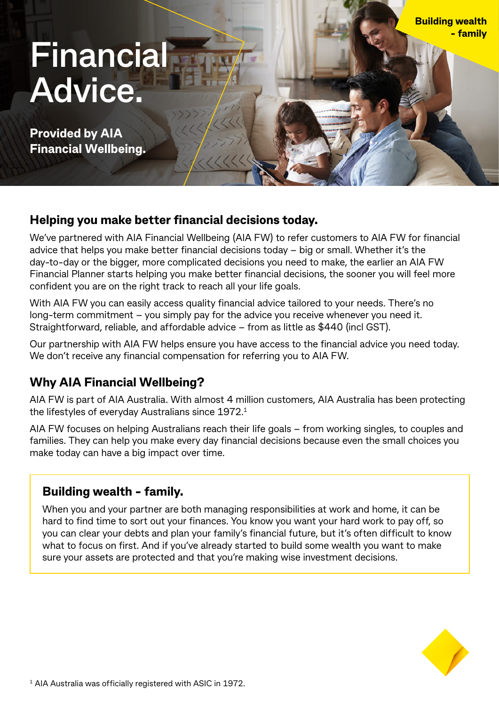# **Financial Advice.**

**Provided by AIA Financial Wellbeing.**

## **Helping you make better financial decisions today.**

We've partnered with AIA Financial Wellbeing (AIA FW) to refer customers to AIA FW for financial advice that helps you make better financial decisions today – big or small. Whether it's the day-to-day or the bigger, more complicated decisions you need to make, the earlier an AIA FW Financial Planner starts helping you make better financial decisions, the sooner you will feel more confident you are on the right track to reach all your life goals.

With AIA FW you can easily access quality financial advice tailored to your needs. There's no long-term commitment – you simply pay for the advice you receive whenever you need it. Straightforward, reliable, and affordable advice – from as little as \$440 (incl GST).

Our partnership with AIA FW helps ensure you have access to the financial advice you need today. We don't receive any financial compensation for referring you to AIA FW.

# **Why AIA Financial Wellbeing?**

AIA FW is part of AIA Australia. With almost 4 million customers, AIA Australia has been protecting the lifestyles of everyday Australians since 1972.1

AIA FW focuses on helping Australians reach their life goals – from working singles, to couples and families. They can help you make every day financial decisions because even the small choices you make today can have a big impact over time.

# **Building wealth - family.**

When you and your partner are both managing responsibilities at work and home, it can be hard to find time to sort out your finances. You know you want your hard work to pay off, so you can clear your debts and plan your family's financial future, but it's often difficult to know what to focus on first. And if you've already started to build some wealth you want to make sure your assets are protected and that you're making wise investment decisions.



**Building wealth**

 **- family**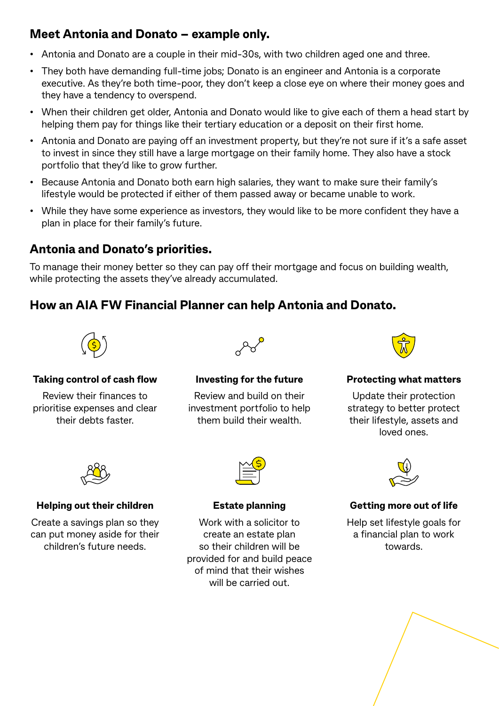# **Meet Antonia and Donato – example only.**

- Antonia and Donato are a couple in their mid-30s, with two children aged one and three.
- They both have demanding full-time jobs; Donato is an engineer and Antonia is a corporate executive. As they're both time-poor, they don't keep a close eye on where their money goes and they have a tendency to overspend.
- When their children get older, Antonia and Donato would like to give each of them a head start by helping them pay for things like their tertiary education or a deposit on their first home.
- Antonia and Donato are paying off an investment property, but they're not sure if it's a safe asset to invest in since they still have a large mortgage on their family home. They also have a stock portfolio that they'd like to grow further.
- Because Antonia and Donato both earn high salaries, they want to make sure their family's lifestyle would be protected if either of them passed away or became unable to work.
- While they have some experience as investors, they would like to be more confident they have a plan in place for their family's future.

# **Antonia and Donato's priorities.**

To manage their money better so they can pay off their mortgage and focus on building wealth, while protecting the assets they've already accumulated.

# **How an AIA FW Financial Planner can help Antonia and Donato.**



#### **Taking control of cash flow**

Review their finances to prioritise expenses and clear their debts faster.



#### **Investing for the future**

Review and build on their investment portfolio to help them build their wealth.



#### **Protecting what matters**

Update their protection strategy to better protect their lifestyle, assets and loved ones.



#### **Helping out their children**

Create a savings plan so they can put money aside for their children's future needs.



#### **Estate planning**

Work with a solicitor to create an estate plan so their children will be provided for and build peace of mind that their wishes will be carried out.



### **Getting more out of life**

Help set lifestyle goals for a financial plan to work towards.